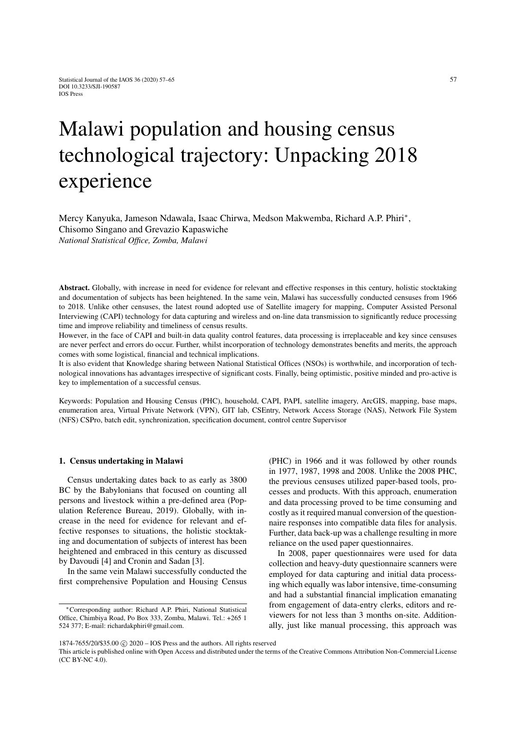# Malawi population and housing census technological trajectory: Unpacking 2018 experience

Mercy Kanyuka, Jameson Ndawala, Isaac Chirwa, Medson Makwemba, Richard A.P. Phiri<sup>∗</sup> , Chisomo Singano and Grevazio Kapaswiche *National Statistical Office, Zomba, Malawi*

Abstract. Globally, with increase in need for evidence for relevant and effective responses in this century, holistic stocktaking and documentation of subjects has been heightened. In the same vein, Malawi has successfully conducted censuses from 1966 to 2018. Unlike other censuses, the latest round adopted use of Satellite imagery for mapping, Computer Assisted Personal Interviewing (CAPI) technology for data capturing and wireless and on-line data transmission to significantly reduce processing time and improve reliability and timeliness of census results.

However, in the face of CAPI and built-in data quality control features, data processing is irreplaceable and key since censuses are never perfect and errors do occur. Further, whilst incorporation of technology demonstrates benefits and merits, the approach comes with some logistical, financial and technical implications.

It is also evident that Knowledge sharing between National Statistical Offices (NSOs) is worthwhile, and incorporation of technological innovations has advantages irrespective of significant costs. Finally, being optimistic, positive minded and pro-active is key to implementation of a successful census.

Keywords: Population and Housing Census (PHC), household, CAPI, PAPI, satellite imagery, ArcGIS, mapping, base maps, enumeration area, Virtual Private Network (VPN), GIT lab, CSEntry, Network Access Storage (NAS), Network File System (NFS) CSPro, batch edit, synchronization, specification document, control centre Supervisor

# 1. Census undertaking in Malawi

Census undertaking dates back to as early as 3800 BC by the Babylonians that focused on counting all persons and livestock within a pre-defined area (Population Reference Bureau, 2019). Globally, with increase in the need for evidence for relevant and effective responses to situations, the holistic stocktaking and documentation of subjects of interest has been heightened and embraced in this century as discussed by Davoudi [\[4\]](#page-8-0) and Cronin and Sadan [\[3\]](#page-7-0).

In the same vein Malawi successfully conducted the first comprehensive Population and Housing Census (PHC) in 1966 and it was followed by other rounds in 1977, 1987, 1998 and 2008. Unlike the 2008 PHC, the previous censuses utilized paper-based tools, processes and products. With this approach, enumeration and data processing proved to be time consuming and costly as it required manual conversion of the questionnaire responses into compatible data files for analysis. Further, data back-up was a challenge resulting in more reliance on the used paper questionnaires.

In 2008, paper questionnaires were used for data collection and heavy-duty questionnaire scanners were employed for data capturing and initial data processing which equally was labor intensive, time-consuming and had a substantial financial implication emanating from engagement of data-entry clerks, editors and reviewers for not less than 3 months on-site. Additionally, just like manual processing, this approach was

<sup>∗</sup>Corresponding author: Richard A.P. Phiri, National Statistical Office, Chimbiya Road, Po Box 333, Zomba, Malawi. Tel.: +265 1 524 377; E-mail: richardakphiri@gmail.com.

<sup>1874-7655/20/\$35.00 © 2020 -</sup> IOS Press and the authors. All rights reserved

This article is published online with Open Access and distributed under the terms of the Creative Commons Attribution Non-Commercial License (CC BY-NC 4.0).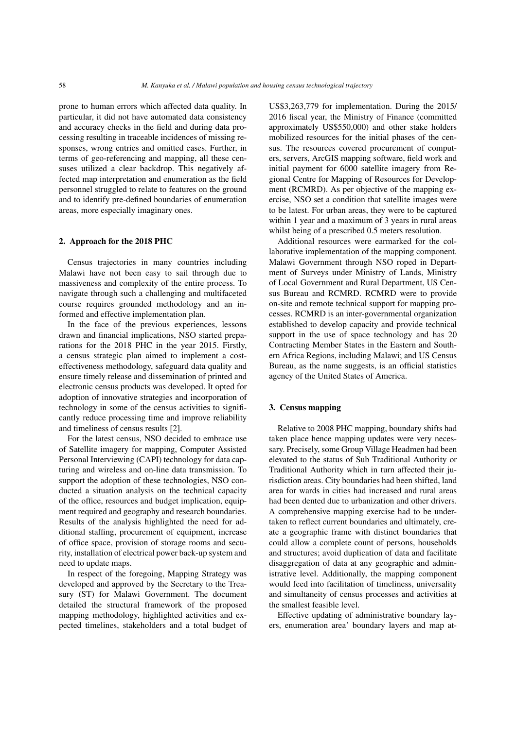prone to human errors which affected data quality. In particular, it did not have automated data consistency and accuracy checks in the field and during data processing resulting in traceable incidences of missing responses, wrong entries and omitted cases. Further, in terms of geo-referencing and mapping, all these censuses utilized a clear backdrop. This negatively affected map interpretation and enumeration as the field personnel struggled to relate to features on the ground and to identify pre-defined boundaries of enumeration areas, more especially imaginary ones.

# 2. Approach for the 2018 PHC

Census trajectories in many countries including Malawi have not been easy to sail through due to massiveness and complexity of the entire process. To navigate through such a challenging and multifaceted course requires grounded methodology and an informed and effective implementation plan.

In the face of the previous experiences, lessons drawn and financial implications, NSO started preparations for the 2018 PHC in the year 2015. Firstly, a census strategic plan aimed to implement a costeffectiveness methodology, safeguard data quality and ensure timely release and dissemination of printed and electronic census products was developed. It opted for adoption of innovative strategies and incorporation of technology in some of the census activities to significantly reduce processing time and improve reliability and timeliness of census results [\[2\]](#page-7-1).

For the latest census, NSO decided to embrace use of Satellite imagery for mapping, Computer Assisted Personal Interviewing (CAPI) technology for data capturing and wireless and on-line data transmission. To support the adoption of these technologies, NSO conducted a situation analysis on the technical capacity of the office, resources and budget implication, equipment required and geography and research boundaries. Results of the analysis highlighted the need for additional staffing, procurement of equipment, increase of office space, provision of storage rooms and security, installation of electrical power back-up system and need to update maps.

In respect of the foregoing, Mapping Strategy was developed and approved by the Secretary to the Treasury (ST) for Malawi Government. The document detailed the structural framework of the proposed mapping methodology, highlighted activities and expected timelines, stakeholders and a total budget of US\$3,263,779 for implementation. During the 2015/ 2016 fiscal year, the Ministry of Finance (committed approximately US\$550,000) and other stake holders mobilized resources for the initial phases of the census. The resources covered procurement of computers, servers, ArcGIS mapping software, field work and initial payment for 6000 satellite imagery from Regional Centre for Mapping of Resources for Development (RCMRD). As per objective of the mapping exercise, NSO set a condition that satellite images were to be latest. For urban areas, they were to be captured within 1 year and a maximum of 3 years in rural areas whilst being of a prescribed 0.5 meters resolution.

Additional resources were earmarked for the collaborative implementation of the mapping component. Malawi Government through NSO roped in Department of Surveys under Ministry of Lands, Ministry of Local Government and Rural Department, US Census Bureau and RCMRD. RCMRD were to provide on-site and remote technical support for mapping processes. RCMRD is an inter-governmental organization established to develop capacity and provide technical support in the use of space technology and has 20 Contracting Member States in the Eastern and Southern Africa Regions, including Malawi; and US Census Bureau, as the name suggests, is an official statistics agency of the United States of America.

#### 3. Census mapping

Relative to 2008 PHC mapping, boundary shifts had taken place hence mapping updates were very necessary. Precisely, some Group Village Headmen had been elevated to the status of Sub Traditional Authority or Traditional Authority which in turn affected their jurisdiction areas. City boundaries had been shifted, land area for wards in cities had increased and rural areas had been dented due to urbanization and other drivers. A comprehensive mapping exercise had to be undertaken to reflect current boundaries and ultimately, create a geographic frame with distinct boundaries that could allow a complete count of persons, households and structures; avoid duplication of data and facilitate disaggregation of data at any geographic and administrative level. Additionally, the mapping component would feed into facilitation of timeliness, universality and simultaneity of census processes and activities at the smallest feasible level.

Effective updating of administrative boundary layers, enumeration area' boundary layers and map at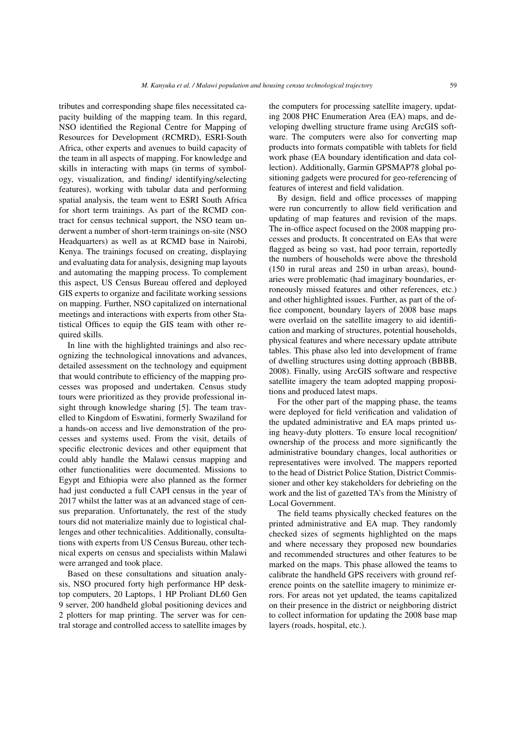tributes and corresponding shape files necessitated capacity building of the mapping team. In this regard, NSO identified the Regional Centre for Mapping of Resources for Development (RCMRD), ESRI-South Africa, other experts and avenues to build capacity of the team in all aspects of mapping. For knowledge and skills in interacting with maps (in terms of symbology, visualization, and finding/ identifying/selecting features), working with tabular data and performing spatial analysis, the team went to ESRI South Africa for short term trainings. As part of the RCMD contract for census technical support, the NSO team underwent a number of short-term trainings on-site (NSO Headquarters) as well as at RCMD base in Nairobi, Kenya. The trainings focused on creating, displaying and evaluating data for analysis, designing map layouts and automating the mapping process. To complement this aspect, US Census Bureau offered and deployed GIS experts to organize and facilitate working sessions on mapping. Further, NSO capitalized on international meetings and interactions with experts from other Statistical Offices to equip the GIS team with other required skills.

In line with the highlighted trainings and also recognizing the technological innovations and advances, detailed assessment on the technology and equipment that would contribute to efficiency of the mapping processes was proposed and undertaken. Census study tours were prioritized as they provide professional insight through knowledge sharing [\[5\]](#page-8-1). The team travelled to Kingdom of Eswatini, formerly Swaziland for a hands-on access and live demonstration of the processes and systems used. From the visit, details of specific electronic devices and other equipment that could ably handle the Malawi census mapping and other functionalities were documented. Missions to Egypt and Ethiopia were also planned as the former had just conducted a full CAPI census in the year of 2017 whilst the latter was at an advanced stage of census preparation. Unfortunately, the rest of the study tours did not materialize mainly due to logistical challenges and other technicalities. Additionally, consultations with experts from US Census Bureau, other technical experts on census and specialists within Malawi were arranged and took place.

Based on these consultations and situation analysis, NSO procured forty high performance HP desktop computers, 20 Laptops, 1 HP Proliant DL60 Gen 9 server, 200 handheld global positioning devices and 2 plotters for map printing. The server was for central storage and controlled access to satellite images by the computers for processing satellite imagery, updating 2008 PHC Enumeration Area (EA) maps, and developing dwelling structure frame using ArcGIS software. The computers were also for converting map products into formats compatible with tablets for field work phase (EA boundary identification and data collection). Additionally, Garmin GPSMAP78 global positioning gadgets were procured for geo-referencing of features of interest and field validation.

By design, field and office processes of mapping were run concurrently to allow field verification and updating of map features and revision of the maps. The in-office aspect focused on the 2008 mapping processes and products. It concentrated on EAs that were flagged as being so vast, had poor terrain, reportedly the numbers of households were above the threshold (150 in rural areas and 250 in urban areas), boundaries were problematic (had imaginary boundaries, erroneously missed features and other references, etc.) and other highlighted issues. Further, as part of the office component, boundary layers of 2008 base maps were overlaid on the satellite imagery to aid identification and marking of structures, potential households, physical features and where necessary update attribute tables. This phase also led into development of frame of dwelling structures using dotting approach (BBBB, 2008). Finally, using ArcGIS software and respective satellite imagery the team adopted mapping propositions and produced latest maps.

For the other part of the mapping phase, the teams were deployed for field verification and validation of the updated administrative and EA maps printed using heavy-duty plotters. To ensure local recognition/ ownership of the process and more significantly the administrative boundary changes, local authorities or representatives were involved. The mappers reported to the head of District Police Station, District Commissioner and other key stakeholders for debriefing on the work and the list of gazetted TA's from the Ministry of Local Government.

The field teams physically checked features on the printed administrative and EA map. They randomly checked sizes of segments highlighted on the maps and where necessary they proposed new boundaries and recommended structures and other features to be marked on the maps. This phase allowed the teams to calibrate the handheld GPS receivers with ground reference points on the satellite imagery to minimize errors. For areas not yet updated, the teams capitalized on their presence in the district or neighboring district to collect information for updating the 2008 base map layers (roads, hospital, etc.).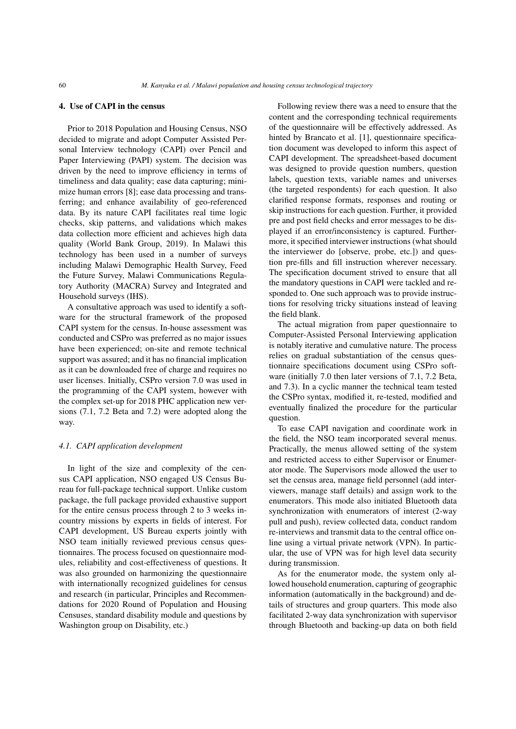#### 4. Use of CAPI in the census

Prior to 2018 Population and Housing Census, NSO decided to migrate and adopt Computer Assisted Personal Interview technology (CAPI) over Pencil and Paper Interviewing (PAPI) system. The decision was driven by the need to improve efficiency in terms of timeliness and data quality; ease data capturing; minimize human errors [\[8\]](#page-8-2); ease data processing and transferring; and enhance availability of geo-referenced data. By its nature CAPI facilitates real time logic checks, skip patterns, and validations which makes data collection more efficient and achieves high data quality (World Bank Group, 2019). In Malawi this technology has been used in a number of surveys including Malawi Demographic Health Survey, Feed the Future Survey, Malawi Communications Regulatory Authority (MACRA) Survey and Integrated and Household surveys (IHS).

A consultative approach was used to identify a software for the structural framework of the proposed CAPI system for the census. In-house assessment was conducted and CSPro was preferred as no major issues have been experienced; on-site and remote technical support was assured; and it has no financial implication as it can be downloaded free of charge and requires no user licenses. Initially, CSPro version 7.0 was used in the programming of the CAPI system, however with the complex set-up for 2018 PHC application new versions (7.1, 7.2 Beta and 7.2) were adopted along the way.

#### *4.1. CAPI application development*

In light of the size and complexity of the census CAPI application, NSO engaged US Census Bureau for full-package technical support. Unlike custom package, the full package provided exhaustive support for the entire census process through 2 to 3 weeks incountry missions by experts in fields of interest. For CAPI development, US Bureau experts jointly with NSO team initially reviewed previous census questionnaires. The process focused on questionnaire modules, reliability and cost-effectiveness of questions. It was also grounded on harmonizing the questionnaire with internationally recognized guidelines for census and research (in particular, Principles and Recommendations for 2020 Round of Population and Housing Censuses, standard disability module and questions by Washington group on Disability, etc.)

Following review there was a need to ensure that the content and the corresponding technical requirements of the questionnaire will be effectively addressed. As hinted by Brancato et al. [\[1\]](#page-7-2), questionnaire specification document was developed to inform this aspect of CAPI development. The spreadsheet-based document was designed to provide question numbers, question labels, question texts, variable names and universes (the targeted respondents) for each question. It also clarified response formats, responses and routing or skip instructions for each question. Further, it provided pre and post field checks and error messages to be displayed if an error/inconsistency is captured. Furthermore, it specified interviewer instructions (what should the interviewer do [observe, probe, etc.]) and question pre-fills and fill instruction wherever necessary. The specification document strived to ensure that all the mandatory questions in CAPI were tackled and responded to. One such approach was to provide instructions for resolving tricky situations instead of leaving the field blank.

The actual migration from paper questionnaire to Computer-Assisted Personal Interviewing application is notably iterative and cumulative nature. The process relies on gradual substantiation of the census questionnaire specifications document using CSPro software (initially 7.0 then later versions of 7.1, 7.2 Beta, and 7.3). In a cyclic manner the technical team tested the CSPro syntax, modified it, re-tested, modified and eventually finalized the procedure for the particular question.

To ease CAPI navigation and coordinate work in the field, the NSO team incorporated several menus. Practically, the menus allowed setting of the system and restricted access to either Supervisor or Enumerator mode. The Supervisors mode allowed the user to set the census area, manage field personnel (add interviewers, manage staff details) and assign work to the enumerators. This mode also initiated Bluetooth data synchronization with enumerators of interest (2-way pull and push), review collected data, conduct random re-interviews and transmit data to the central office online using a virtual private network (VPN). In particular, the use of VPN was for high level data security during transmission.

As for the enumerator mode, the system only allowed household enumeration, capturing of geographic information (automatically in the background) and details of structures and group quarters. This mode also facilitated 2-way data synchronization with supervisor through Bluetooth and backing-up data on both field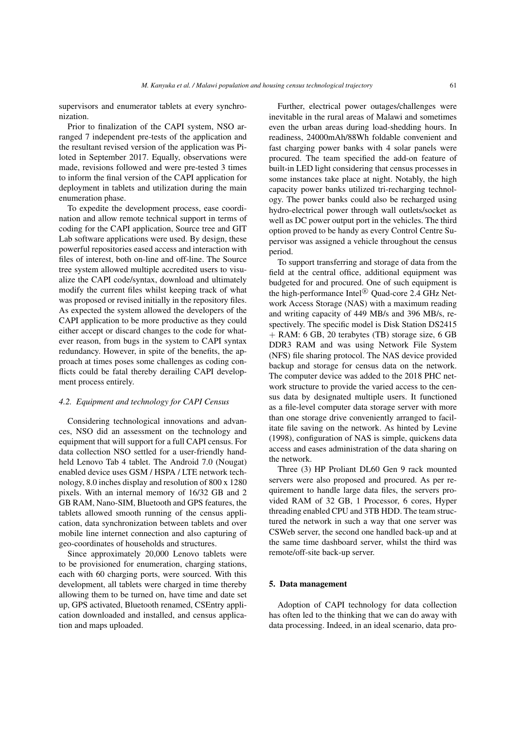supervisors and enumerator tablets at every synchronization.

Prior to finalization of the CAPI system, NSO arranged 7 independent pre-tests of the application and the resultant revised version of the application was Piloted in September 2017. Equally, observations were made, revisions followed and were pre-tested 3 times to inform the final version of the CAPI application for deployment in tablets and utilization during the main enumeration phase.

To expedite the development process, ease coordination and allow remote technical support in terms of coding for the CAPI application, Source tree and GIT Lab software applications were used. By design, these powerful repositories eased access and interaction with files of interest, both on-line and off-line. The Source tree system allowed multiple accredited users to visualize the CAPI code/syntax, download and ultimately modify the current files whilst keeping track of what was proposed or revised initially in the repository files. As expected the system allowed the developers of the CAPI application to be more productive as they could either accept or discard changes to the code for whatever reason, from bugs in the system to CAPI syntax redundancy. However, in spite of the benefits, the approach at times poses some challenges as coding conflicts could be fatal thereby derailing CAPI development process entirely.

# *4.2. Equipment and technology for CAPI Census*

Considering technological innovations and advances, NSO did an assessment on the technology and equipment that will support for a full CAPI census. For data collection NSO settled for a user-friendly handheld Lenovo Tab 4 tablet. The Android 7.0 (Nougat) enabled device uses GSM / HSPA / LTE network technology, 8.0 inches display and resolution of 800 x 1280 pixels. With an internal memory of 16/32 GB and 2 GB RAM, Nano-SIM, Bluetooth and GPS features, the tablets allowed smooth running of the census application, data synchronization between tablets and over mobile line internet connection and also capturing of geo-coordinates of households and structures.

Since approximately 20,000 Lenovo tablets were to be provisioned for enumeration, charging stations, each with 60 charging ports, were sourced. With this development, all tablets were charged in time thereby allowing them to be turned on, have time and date set up, GPS activated, Bluetooth renamed, CSEntry application downloaded and installed, and census application and maps uploaded.

Further, electrical power outages/challenges were inevitable in the rural areas of Malawi and sometimes even the urban areas during load-shedding hours. In readiness, 24000mAh/88Wh foldable convenient and fast charging power banks with 4 solar panels were procured. The team specified the add-on feature of built-in LED light considering that census processes in some instances take place at night. Notably, the high capacity power banks utilized tri-recharging technology. The power banks could also be recharged using hydro-electrical power through wall outlets/socket as well as DC power output port in the vehicles. The third option proved to be handy as every Control Centre Supervisor was assigned a vehicle throughout the census period.

To support transferring and storage of data from the field at the central office, additional equipment was budgeted for and procured. One of such equipment is the high-performance Intel<sup>®</sup> Quad-core 2.4 GHz Network Access Storage (NAS) with a maximum reading and writing capacity of 449 MB/s and 396 MB/s, respectively. The specific model is Disk Station DS2415 + RAM: 6 GB, 20 terabytes (TB) storage size, 6 GB DDR3 RAM and was using Network File System (NFS) file sharing protocol. The NAS device provided backup and storage for census data on the network. The computer device was added to the 2018 PHC network structure to provide the varied access to the census data by designated multiple users. It functioned as a file-level computer data storage server with more than one storage drive conveniently arranged to facilitate file saving on the network. As hinted by Levine (1998), configuration of NAS is simple, quickens data access and eases administration of the data sharing on the network.

Three (3) HP Proliant DL60 Gen 9 rack mounted servers were also proposed and procured. As per requirement to handle large data files, the servers provided RAM of 32 GB, 1 Processor, 6 cores, Hyper threading enabled CPU and 3TB HDD. The team structured the network in such a way that one server was CSWeb server, the second one handled back-up and at the same time dashboard server, whilst the third was remote/off-site back-up server.

### 5. Data management

Adoption of CAPI technology for data collection has often led to the thinking that we can do away with data processing. Indeed, in an ideal scenario, data pro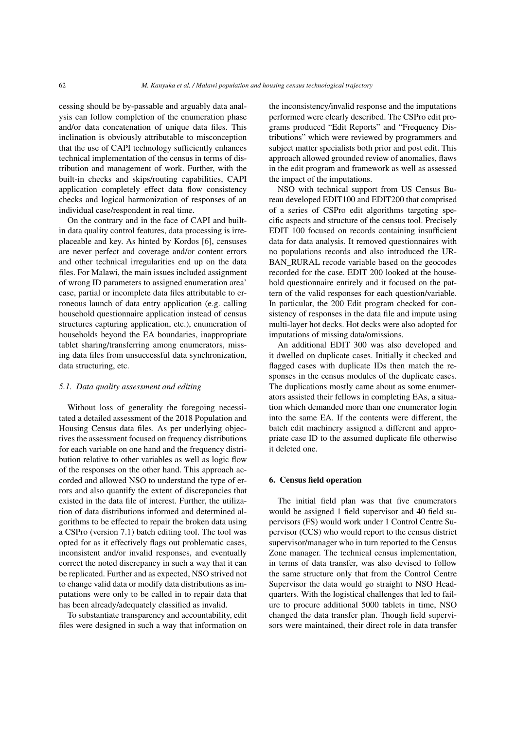cessing should be by-passable and arguably data analysis can follow completion of the enumeration phase and/or data concatenation of unique data files. This inclination is obviously attributable to misconception that the use of CAPI technology sufficiently enhances technical implementation of the census in terms of distribution and management of work. Further, with the built-in checks and skips/routing capabilities, CAPI application completely effect data flow consistency checks and logical harmonization of responses of an individual case/respondent in real time.

On the contrary and in the face of CAPI and builtin data quality control features, data processing is irreplaceable and key. As hinted by Kordos [\[6\]](#page-8-3), censuses are never perfect and coverage and/or content errors and other technical irregularities end up on the data files. For Malawi, the main issues included assignment of wrong ID parameters to assigned enumeration area' case, partial or incomplete data files attributable to erroneous launch of data entry application (e.g. calling household questionnaire application instead of census structures capturing application, etc.), enumeration of households beyond the EA boundaries, inappropriate tablet sharing/transferring among enumerators, missing data files from unsuccessful data synchronization, data structuring, etc.

#### *5.1. Data quality assessment and editing*

Without loss of generality the foregoing necessitated a detailed assessment of the 2018 Population and Housing Census data files. As per underlying objectives the assessment focused on frequency distributions for each variable on one hand and the frequency distribution relative to other variables as well as logic flow of the responses on the other hand. This approach accorded and allowed NSO to understand the type of errors and also quantify the extent of discrepancies that existed in the data file of interest. Further, the utilization of data distributions informed and determined algorithms to be effected to repair the broken data using a CSPro (version 7.1) batch editing tool. The tool was opted for as it effectively flags out problematic cases, inconsistent and/or invalid responses, and eventually correct the noted discrepancy in such a way that it can be replicated. Further and as expected, NSO strived not to change valid data or modify data distributions as imputations were only to be called in to repair data that has been already/adequately classified as invalid.

To substantiate transparency and accountability, edit files were designed in such a way that information on the inconsistency/invalid response and the imputations performed were clearly described. The CSPro edit programs produced "Edit Reports" and "Frequency Distributions" which were reviewed by programmers and subject matter specialists both prior and post edit. This approach allowed grounded review of anomalies, flaws in the edit program and framework as well as assessed the impact of the imputations.

NSO with technical support from US Census Bureau developed EDIT100 and EDIT200 that comprised of a series of CSPro edit algorithms targeting specific aspects and structure of the census tool. Precisely EDIT 100 focused on records containing insufficient data for data analysis. It removed questionnaires with no populations records and also introduced the UR-BAN\_RURAL recode variable based on the geocodes recorded for the case. EDIT 200 looked at the household questionnaire entirely and it focused on the pattern of the valid responses for each question/variable. In particular, the 200 Edit program checked for consistency of responses in the data file and impute using multi-layer hot decks. Hot decks were also adopted for imputations of missing data/omissions.

An additional EDIT 300 was also developed and it dwelled on duplicate cases. Initially it checked and flagged cases with duplicate IDs then match the responses in the census modules of the duplicate cases. The duplications mostly came about as some enumerators assisted their fellows in completing EAs, a situation which demanded more than one enumerator login into the same EA. If the contents were different, the batch edit machinery assigned a different and appropriate case ID to the assumed duplicate file otherwise it deleted one.

# 6. Census field operation

The initial field plan was that five enumerators would be assigned 1 field supervisor and 40 field supervisors (FS) would work under 1 Control Centre Supervisor (CCS) who would report to the census district supervisor/manager who in turn reported to the Census Zone manager. The technical census implementation, in terms of data transfer, was also devised to follow the same structure only that from the Control Centre Supervisor the data would go straight to NSO Headquarters. With the logistical challenges that led to failure to procure additional 5000 tablets in time, NSO changed the data transfer plan. Though field supervisors were maintained, their direct role in data transfer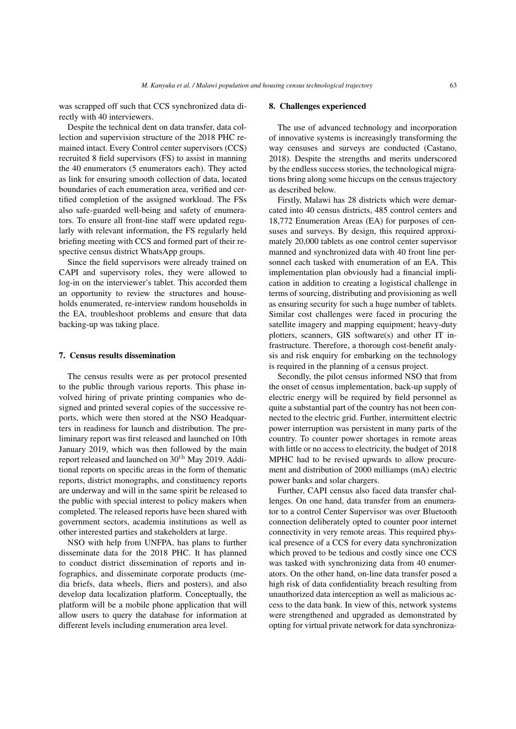was scrapped off such that CCS synchronized data directly with 40 interviewers.

Despite the technical dent on data transfer, data collection and supervision structure of the 2018 PHC remained intact. Every Control center supervisors (CCS) recruited 8 field supervisors (FS) to assist in manning the 40 enumerators (5 enumerators each). They acted as link for ensuring smooth collection of data, located boundaries of each enumeration area, verified and certified completion of the assigned workload. The FSs also safe-guarded well-being and safety of enumerators. To ensure all front-line staff were updated regularly with relevant information, the FS regularly held briefing meeting with CCS and formed part of their respective census district WhatsApp groups.

Since the field supervisors were already trained on CAPI and supervisory roles, they were allowed to log-in on the interviewer's tablet. This accorded them an opportunity to review the structures and households enumerated, re-interview random households in the EA, troubleshoot problems and ensure that data backing-up was taking place.

# 7. Census results dissemination

The census results were as per protocol presented to the public through various reports. This phase involved hiring of private printing companies who designed and printed several copies of the successive reports, which were then stored at the NSO Headquarters in readiness for launch and distribution. The preliminary report was first released and launched on 10th January 2019, which was then followed by the main report released and launched on 30<sup>th</sup> May 2019. Additional reports on specific areas in the form of thematic reports, district monographs, and constituency reports are underway and will in the same spirit be released to the public with special interest to policy makers when completed. The released reports have been shared with government sectors, academia institutions as well as other interested parties and stakeholders at large.

NSO with help from UNFPA, has plans to further disseminate data for the 2018 PHC. It has planned to conduct district dissemination of reports and infographics, and disseminate corporate products (media briefs, data wheels, fliers and posters), and also develop data localization platform. Conceptually, the platform will be a mobile phone application that will allow users to query the database for information at different levels including enumeration area level.

#### 8. Challenges experienced

The use of advanced technology and incorporation of innovative systems is increasingly transforming the way censuses and surveys are conducted (Castano, 2018). Despite the strengths and merits underscored by the endless success stories, the technological migrations bring along some hiccups on the census trajectory as described below.

Firstly, Malawi has 28 districts which were demarcated into 40 census districts, 485 control centers and 18,772 Enumeration Areas (EA) for purposes of censuses and surveys. By design, this required approximately 20,000 tablets as one control center supervisor manned and synchronized data with 40 front line personnel each tasked with enumeration of an EA. This implementation plan obviously had a financial implication in addition to creating a logistical challenge in terms of sourcing, distributing and provisioning as well as ensuring security for such a huge number of tablets. Similar cost challenges were faced in procuring the satellite imagery and mapping equipment; heavy-duty plotters, scanners, GIS software(s) and other IT infrastructure. Therefore, a thorough cost-benefit analysis and risk enquiry for embarking on the technology is required in the planning of a census project.

Secondly, the pilot census informed NSO that from the onset of census implementation, back-up supply of electric energy will be required by field personnel as quite a substantial part of the country has not been connected to the electric grid. Further, intermittent electric power interruption was persistent in many parts of the country. To counter power shortages in remote areas with little or no access to electricity, the budget of 2018 MPHC had to be revised upwards to allow procurement and distribution of 2000 milliamps (mA) electric power banks and solar chargers.

Further, CAPI census also faced data transfer challenges. On one hand, data transfer from an enumerator to a control Center Supervisor was over Bluetooth connection deliberately opted to counter poor internet connectivity in very remote areas. This required physical presence of a CCS for every data synchronization which proved to be tedious and costly since one CCS was tasked with synchronizing data from 40 enumerators. On the other hand, on-line data transfer posed a high risk of data confidentiality breach resulting from unauthorized data interception as well as malicious access to the data bank. In view of this, network systems were strengthened and upgraded as demonstrated by opting for virtual private network for data synchroniza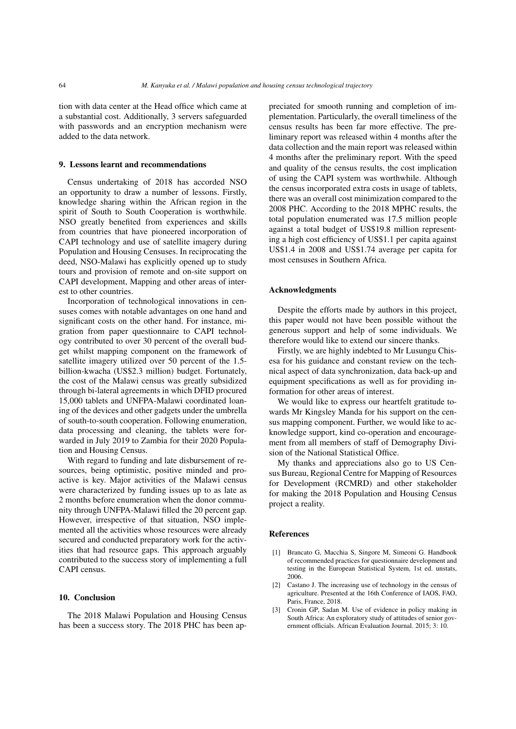tion with data center at the Head office which came at a substantial cost. Additionally, 3 servers safeguarded with passwords and an encryption mechanism were added to the data network.

#### 9. Lessons learnt and recommendations

Census undertaking of 2018 has accorded NSO an opportunity to draw a number of lessons. Firstly, knowledge sharing within the African region in the spirit of South to South Cooperation is worthwhile. NSO greatly benefited from experiences and skills from countries that have pioneered incorporation of CAPI technology and use of satellite imagery during Population and Housing Censuses. In reciprocating the deed, NSO-Malawi has explicitly opened up to study tours and provision of remote and on-site support on CAPI development, Mapping and other areas of interest to other countries.

Incorporation of technological innovations in censuses comes with notable advantages on one hand and significant costs on the other hand. For instance, migration from paper questionnaire to CAPI technology contributed to over 30 percent of the overall budget whilst mapping component on the framework of satellite imagery utilized over 50 percent of the 1.5 billion-kwacha (US\$2.3 million) budget. Fortunately, the cost of the Malawi census was greatly subsidized through bi-lateral agreements in which DFID procured 15,000 tablets and UNFPA-Malawi coordinated loaning of the devices and other gadgets under the umbrella of south-to-south cooperation. Following enumeration, data processing and cleaning, the tablets were forwarded in July 2019 to Zambia for their 2020 Population and Housing Census.

With regard to funding and late disbursement of resources, being optimistic, positive minded and proactive is key. Major activities of the Malawi census were characterized by funding issues up to as late as 2 months before enumeration when the donor community through UNFPA-Malawi filled the 20 percent gap. However, irrespective of that situation, NSO implemented all the activities whose resources were already secured and conducted preparatory work for the activities that had resource gaps. This approach arguably contributed to the success story of implementing a full CAPI census.

# 10. Conclusion

The 2018 Malawi Population and Housing Census has been a success story. The 2018 PHC has been appreciated for smooth running and completion of implementation. Particularly, the overall timeliness of the census results has been far more effective. The preliminary report was released within 4 months after the data collection and the main report was released within 4 months after the preliminary report. With the speed and quality of the census results, the cost implication of using the CAPI system was worthwhile. Although the census incorporated extra costs in usage of tablets, there was an overall cost minimization compared to the 2008 PHC. According to the 2018 MPHC results, the total population enumerated was 17.5 million people against a total budget of US\$19.8 million representing a high cost efficiency of US\$1.1 per capita against US\$1.4 in 2008 and US\$1.74 average per capita for most censuses in Southern Africa.

### Acknowledgments

Despite the efforts made by authors in this project, this paper would not have been possible without the generous support and help of some individuals. We therefore would like to extend our sincere thanks.

Firstly, we are highly indebted to Mr Lusungu Chisesa for his guidance and constant review on the technical aspect of data synchronization, data back-up and equipment specifications as well as for providing information for other areas of interest.

We would like to express our heartfelt gratitude towards Mr Kingsley Manda for his support on the census mapping component. Further, we would like to acknowledge support, kind co-operation and encouragement from all members of staff of Demography Division of the National Statistical Office.

My thanks and appreciations also go to US Census Bureau, Regional Centre for Mapping of Resources for Development (RCMRD) and other stakeholder for making the 2018 Population and Housing Census project a reality.

## References

- <span id="page-7-2"></span>[1] Brancato G, Macchia S, Singore M, Simeoni G. Handbook of recommended practices for questionnaire development and testing in the European Statistical System, 1st ed. unstats, 2006.
- <span id="page-7-1"></span>[2] Castano J. The increasing use of technology in the census of agriculture. Presented at the 16th Conference of IAOS, FAO, Paris, France, 2018.
- <span id="page-7-0"></span>[3] Cronin GP, Sadan M. Use of evidence in policy making in South Africa: An exploratory study of attitudes of senior government officials. African Evaluation Journal. 2015; 3: 10.